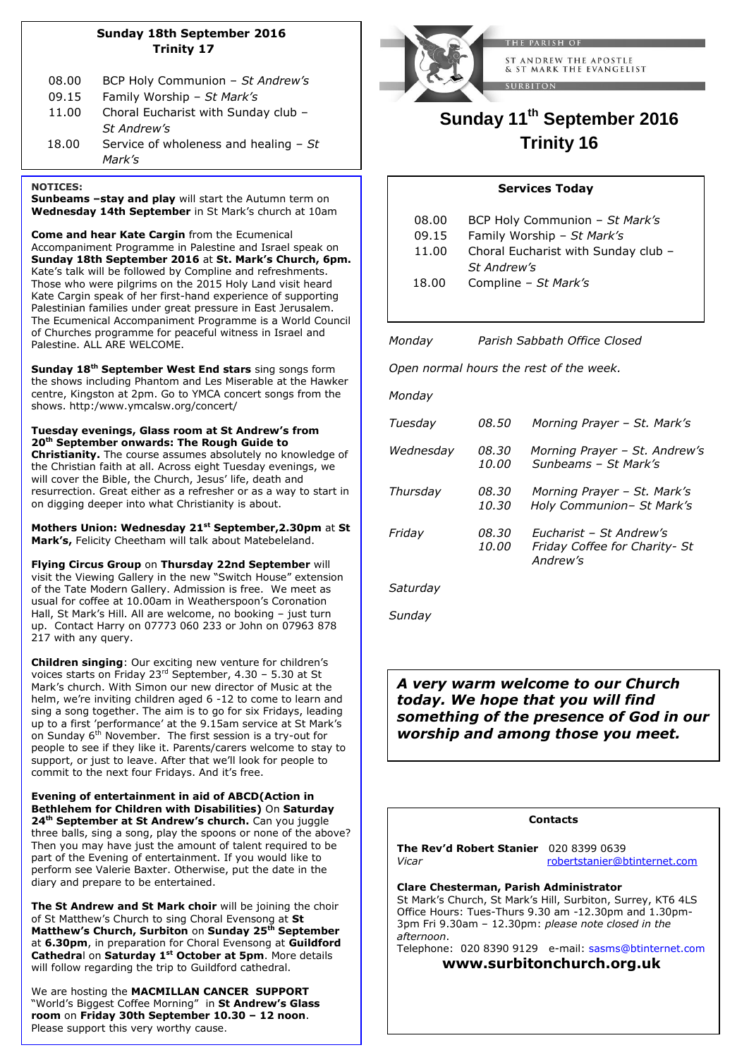### **Sunday 18th September 2016 Trinity 17**

| 08.00 | BCP Holy Communion - St Andrew's       |
|-------|----------------------------------------|
| 09.15 | Family Worship - St Mark's             |
| 11.00 | Choral Eucharist with Sunday club -    |
|       | St Andrew's                            |
| 18.00 | Service of wholeness and healing $-St$ |
|       | Mark's                                 |

### **NOTICES:**

**Sunbeams –stay and play** will start the Autumn term on **Wednesday 14th September** in St Mark's church at 10am

**Come and hear Kate Cargin** from the Ecumenical Accompaniment Programme in Palestine and Israel speak on **Sunday 18th September 2016** at **St. Mark's Church, 6pm.** Kate's talk will be followed by Compline and refreshments. Those who were pilgrims on the 2015 Holy Land visit heard  Kate Cargin speak of her first-hand experience of supporting Palestinian families under great pressure in East Jerusalem. The Ecumenical Accompaniment Programme is a World Council of Churches programme for peaceful witness in Israel and Palestine. ALL ARE WELCOME.

**Sunday 18th September West End stars** sing songs form the shows including Phantom and Les Miserable at the Hawker centre, Kingston at 2pm. Go to YMCA concert songs from the shows. http:/www.ymcalsw.org/concert/

**Tuesday evenings, Glass room at St Andrew's from 20th September onwards: The Rough Guide to Christianity.** The course assumes absolutely no knowledge of the Christian faith at all. Across eight Tuesday evenings, we will cover the Bible, the Church, Jesus' life, death and resurrection. Great either as a refresher or as a way to start in on digging deeper into what Christianity is about.

**Mothers Union: Wednesday 21st September,2.30pm** at **St Mark's,** Felicity Cheetham will talk about Matebeleland.

**Flying Circus Group** on **Thursday 22nd September** will visit the Viewing Gallery in the new "Switch House" extension of the Tate Modern Gallery. Admission is free. We meet as usual for coffee at 10.00am in Weatherspoon's Coronation Hall, St Mark's Hill. All are welcome, no booking – just turn up. Contact Harry on 07773 060 233 or John on 07963 878 217 with any query.

**Children singing**: Our exciting new venture for children's voices starts on Friday 23rd September, 4.30 – 5.30 at St Mark's church. With Simon our new director of Music at the helm, we're inviting children aged 6 -12 to come to learn and sing a song together. The aim is to go for six Fridays, leading up to a first 'performance' at the 9.15am service at St Mark's on Sunday  $6<sup>th</sup>$  November. The first session is a try-out for people to see if they like it. Parents/carers welcome to stay to support, or just to leave. After that we'll look for people to commit to the next four Fridays. And it's free.

**Evening of entertainment in aid of ABCD(Action in Bethlehem for Children with Disabilities)** On **Saturday 24th September at St Andrew's church.** Can you juggle three balls, sing a song, play the spoons or none of the above? Then you may have just the amount of talent required to be part of the Evening of entertainment. If you would like to perform see Valerie Baxter. Otherwise, put the date in the diary and prepare to be entertained.

**The St Andrew and St Mark choir** will be joining the choir of St Matthew's Church to sing Choral Evensong at **St Matthew's Church, Surbiton** on **Sunday 25th September** at **6.30pm**, in preparation for Choral Evensong at **Guildford Cathedra**l on **Saturday 1st October at 5pm**. More details will follow regarding the trip to Guildford cathedral.

We are hosting the **MACMILLAN CANCER SUPPORT** "World's Biggest Coffee Morning" in **St Andrew's Glass room** on **Friday 30th September 10.30 – 12 noon**. Please support this very worthy cause.



ST ANDREW THE APOSTLE & ST MARK THE EVANGELIST

# **Sunday 11th September 2016 Trinity 16**

# **Services Today**

| 08.00 | BCP Holy Communion - St Mark's      |
|-------|-------------------------------------|
| 09.15 | Family Worship - St Mark's          |
| 11.00 | Choral Eucharist with Sunday club - |
|       | St Andrew's                         |
| 18.00 | Compline - St Mark's                |
|       |                                     |

*Monday Parish Sabbath Office Closed* 

*Open normal hours the rest of the week.*

| Monday    |                              |                                                                      |
|-----------|------------------------------|----------------------------------------------------------------------|
| Tuesday   | <i>08.50</i>                 | Morning Prayer - St. Mark's                                          |
| Wednesday | 08.30<br>10.00               | Morning Prayer - St. Andrew's<br>Sunbeams - St Mark's                |
| Thursday  | 08.30<br>10.30               | Morning Prayer - St. Mark's<br>Holy Communion- St Mark's             |
| Friday    | <i>08.30</i><br><i>10.00</i> | Eucharist - St Andrew's<br>Friday Coffee for Charity- St<br>Andrew's |
| Saturday  |                              |                                                                      |

*Sunday* 

*A very warm welcome to our Church today. We hope that you will find something of the presence of God in our worship and among those you meet.* 

### **Contacts**

**The Rev'd Robert Stanier** 020 8399 0639 *Vicar* [robertstanier@btinternet.com](mailto:robertstanier@btinternet.com)

**Clare Chesterman, Parish Administrator** St Mark's Church, St Mark's Hill, Surbiton, Surrey, KT6 4LS  Office Hours: Tues-Thurs 9.30 am -12.30pm and 1.30pm-3pm Fri 9.30am – 12.30pm: *please note closed in the afternoon*.

Telephone: 020 8390 9129 e-mail: [sasms@btinternet.com](mailto:sasms@btinternet.com)  **www.surbitonchurch.org.uk**